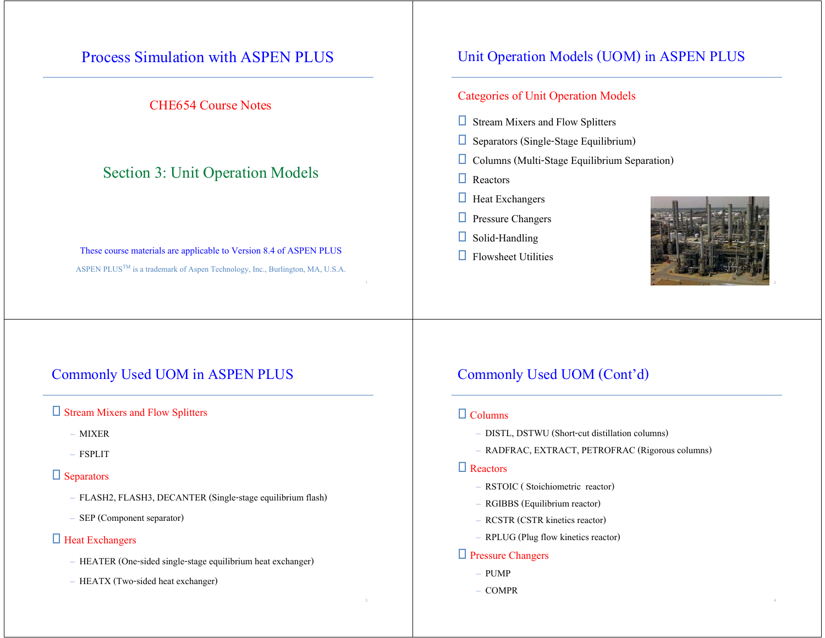### Process Simulation with ASPEN PLUS

#### CHE654 Course Notes

### Section 3: Unit Operation Models

#### These course materials are applicable to Version 8.4 of ASPEN PLUS ASPEN PLUS<sup>TM</sup> is a trademark of Aspen Technology, Inc., Burlington, MA, U.S.A.

#### Unit Operation Models (UOM) in ASPEN PLUS

#### Categories of Unit Operation Models

- $\Box$  Stream Mixers and Flow Splitters
- $\square$  Separators (Single-Stage Equilibrium)
- $\Box$  Columns (Multi-Stage Equilibrium Separation)
- **Q** Reactors
- $\Box$  Heat Exchangers
- **D** Pressure Changers
- $\Box$  Solid-Handling
- $\Box$  Flowsheet Utilities



### Commonly Used UOM in ASPEN PLUS

#### Stream Mixers and Flow Splitters

- MIXER
- FSPLIT

#### $\Box$  Separators

- FLASH2, FLASH3, DECANTER (Single-stage equilibrium flash)
- SEP (Component separator)

#### □ Heat Exchangers

- HEATER (One-sided single-stage equilibrium heat exchanger)
- HEATX (Two-sided heat exchanger)

#### Commonly Used UOM (Cont'd)

#### $\Box$  Columns

- DISTL, DSTWU (Short-cut distillation columns)
- RADFRAC, EXTRACT, PETROFRAC (Rigorous columns)

#### □ Reactors

- RSTOIC ( Stoichiometric reactor)
- RGIBBS (Equilibrium reactor)
- RCSTR (CSTR kinetics reactor)
- RPLUG (Plug flow kinetics reactor)

#### □ Pressure Changers

- PUMP
- COMPR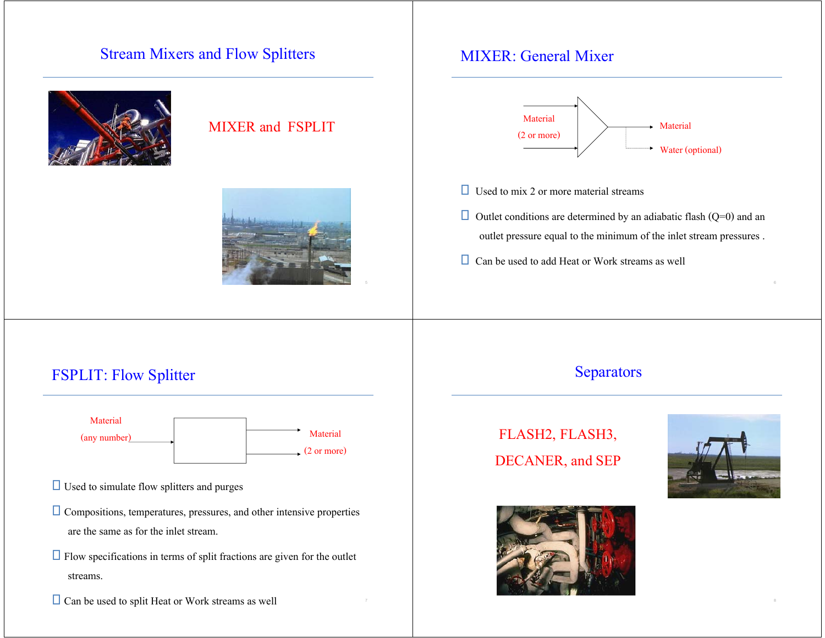### Stream Mixers and Flow Splitters



#### MIXER and FSPLIT



### MIXER: General Mixer



- $\Box$  Used to mix 2 or more material streams
- $\Box$  Outlet conditions are determined by an adiabatic flash (Q=0) and an outlet pressure equal to the minimum of the inlet stream pressures .
- $\Box$  Can be used to add Heat or Work streams as well

### FSPLIT: Flow Splitter



- $\Box$  Used to simulate flow splitters and purges
- $\Box$  Compositions, temperatures, pressures, and other intensive properties are the same as for the inlet stream.
- $\Box$  Flow specifications in terms of split fractions are given for the outlet streams.

 $\Box$  Can be used to split Heat or Work streams as well

#### Separators

# FLASH2, FLASH3, DECANER, and SEP



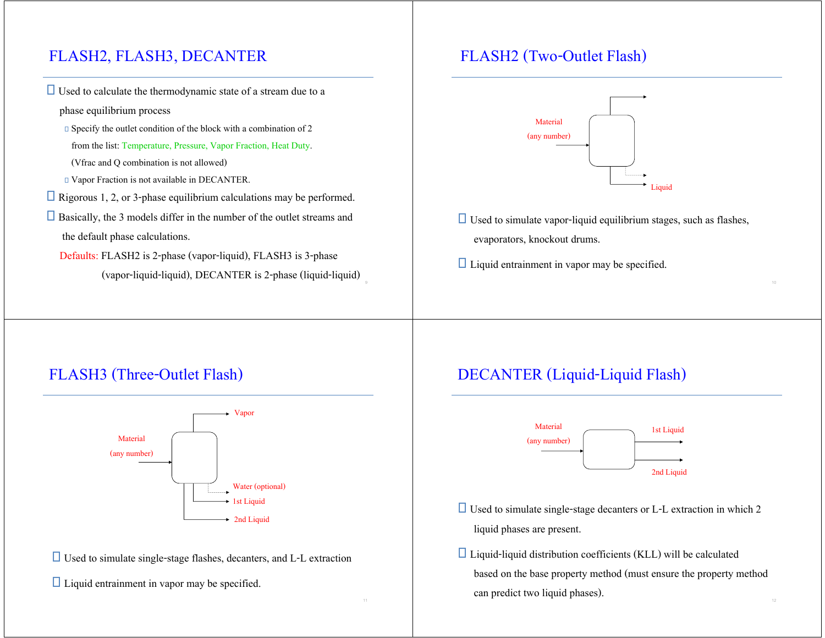# FLASH2, FLASH3, DECANTER

- $\Box$  Used to calculate the thermodynamic state of a stream due to a
	- phase equilibrium process
	- $\square$  Specify the outlet condition of the block with a combination of 2
	- from the list: Temperature, Pressure, Vapor Fraction, Heat Duty.
	- (Vfrac and Q combination is not allowed)
	- Vapor Fraction is not available in DECANTER.
- Rigorous 1, 2, or 3-phase equilibrium calculations may be performed.
- $\Box$  Basically, the 3 models differ in the number of the outlet streams and the default phase calculations.
	- Defaults: FLASH2 is 2-phase (vapor-liquid), FLASH3 is 3-phase (vapor-liquid-liquid), DECANTER is 2-phase (liquid-liquid)

# FLASH2 (Two-Outlet Flash)



- $\Box$  Used to simulate vapor-liquid equilibrium stages, such as flashes, evaporators, knockout drums.
- $\Box$  Liquid entrainment in vapor may be specified.

# FLASH3 (Three-Outlet Flash)



 $\Box$  Used to simulate single-stage flashes, decanters, and L-L extraction

 $\Box$  Liquid entrainment in vapor may be specified.

# DECANTER (Liquid-Liquid Flash)



- $\Box$  Used to simulate single-stage decanters or L-L extraction in which 2 liquid phases are present.
- $\Box$  Liquid-liquid distribution coefficients (KLL) will be calculated based on the base property method (must ensure the property method can predict two liquid phases).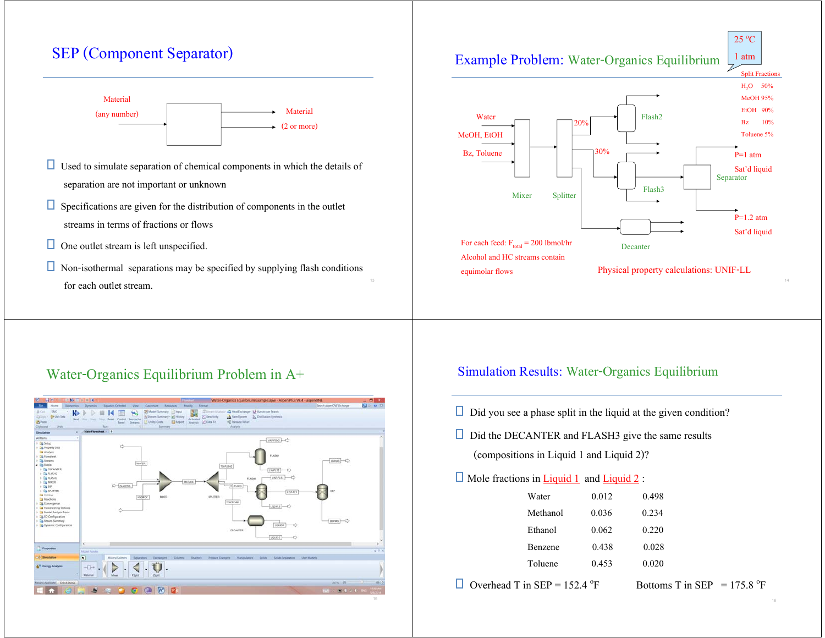## SEP (Component Separator)



- $\Box$  Used to simulate separation of chemical components in which the details of separation are not important or unknown
- $\Box$  Specifications are given for the distribution of components in the outlet streams in terms of fractions or flows
- $\Box$  One outlet stream is left unspecified.
- $\Box$  Non-isothermal separations may be specified by supplying flash conditions for each outlet stream.



#### Water-Organics Equilibrium Problem in A+



#### Simulation Results: Water-Organics Equilibrium

- $\Box$  Did you see a phase split in the liquid at the given condition?
- $\Box$  Did the DECANTER and FLASH3 give the same results (compositions in Liquid 1 and Liquid 2)?

#### $\Box$  Mole fractions in <u>Liquid 1</u> and <u>Liquid 2</u>:

| Water    | 0.012 | 0.498 |
|----------|-------|-------|
| Methanol | 0.036 | 0.234 |
| Ethanol  | 0.062 | 0.220 |
| Benzene  | 0.438 | 0.028 |
| Toluene  | 0.453 | 0.020 |
|          |       |       |

Overhead T in SEP = 152.4 °F Bottoms T in SEP = 175.8 °F

 $25^{\circ}$ C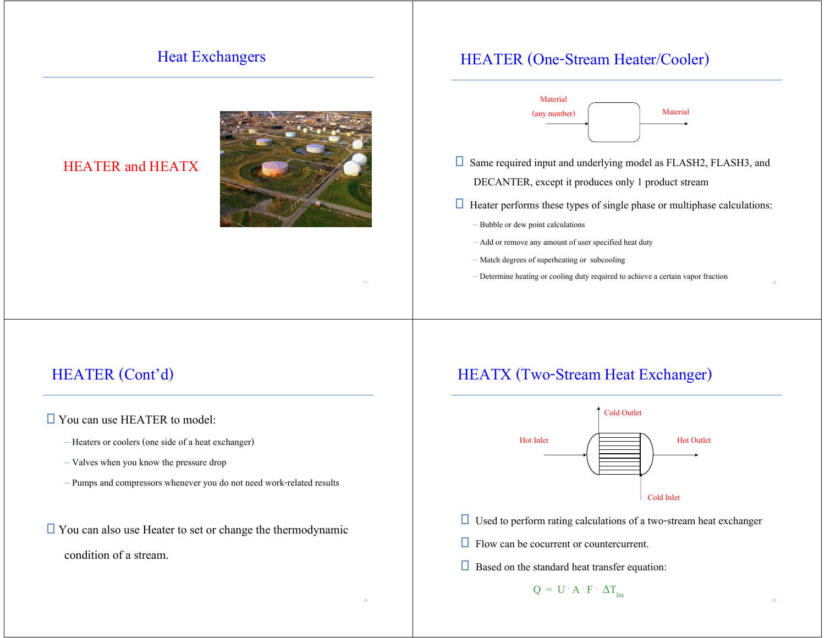### Heat Exchangers

#### HEATER and HEATX



### HEATER (One-Stream Heater/Cooler)



- □ Same required input and underlying model as FLASH2, FLASH3, and DECANTER, except it produces only 1 product stream
- $\Box$  Heater performs these types of single phase or multiphase calculations:
	- Bubble or dew point calculations
	- Add or remove any amount of user specified heat duty
	- Match degrees of superheating or subcooling
	- Determine heating or cooling duty required to achieve a certain vapor fraction

### HEATER (Cont'd)

#### □ You can use HEATER to model:

- Heaters or coolers (one side of a heat exchanger)
- Valves when you know the pressure drop
- Pumps and compressors whenever you do not need work-related results
- $\Box$  You can also use Heater to set or change the thermodynamic condition of a stream.

### HEATX (Two-Stream Heat Exchanger)



 $\Box$  Used to perform rating calculations of a two-stream heat exchanger

**Flow can be cocurrent or countercurrent.** 

 $\Box$  Based on the standard heat transfer equation:

 $Q = U \cdot A \cdot F \cdot \Delta T_{lm}$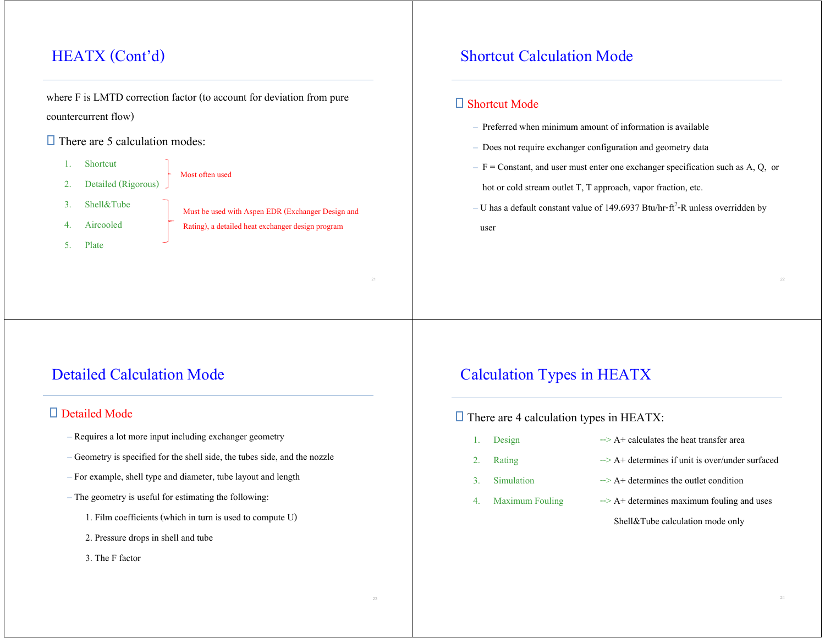# HEATX (Cont'd)

where F is LMTD correction factor (to account for deviation from pure countercurrent flow)

#### $\Box$  There are 5 calculation modes:

| 1. Shortcut            |
|------------------------|
| 2. Detailed (Rigorous) |

Most often used

- 3. Shell&Tube
- 4. Aircooled
- 5. Plate

Must be used with Aspen EDR (Exchanger Design and Rating), a detailed heat exchanger design program

# Detailed Calculation Mode

#### □ Detailed Mode

- Requires a lot more input including exchanger geometry
- Geometry is specified for the shell side, the tubes side, and the nozzle
- For example, shell type and diameter, tube layout and length
- The geometry is useful for estimating the following:
	- 1. Film coefficients (which in turn is used to compute U)
	- 2. Pressure drops in shell and tube
	- 3. The F factor

### Shortcut Calculation Mode

#### □ Shortcut Mode

- Preferred when minimum amount of information is available
- Does not require exchanger configuration and geometry data
- $-$  F = Constant, and user must enter one exchanger specification such as A, Q, or

hot or cold stream outlet T, T approach, vapor fraction, etc.

– U has a default constant value of 149.6937 Btu/hr-ft<sup>2</sup>-R unless overridden by

user

### Calculation Types in HEATX

 $\Box$  There are 4 calculation types in HEATX:

- 
- 
- 
- 
- 1. Design  $-$ > A+ calculates the heat transfer area
- 2. Rating  $\rightarrow A +$  determines if unit is over/under surfaced
- 3. Simulation  $\rightarrow A^+$  determines the outlet condition
- 4. Maximum Fouling  $\rightarrow A^+$  determines maximum fouling and uses

Shell&Tube calculation mode only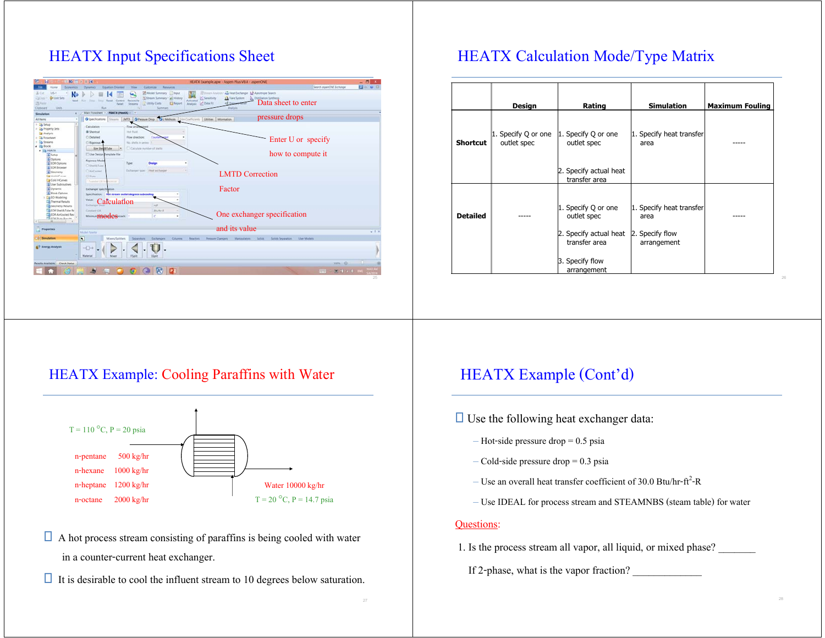### HEATX Input Specifications Sheet



# HEATX Calculation Mode/Type Matrix

|                 | Design                             | Rating                                  | <b>Simulation</b>                | <b>Maximum Fouling</b> |
|-----------------|------------------------------------|-----------------------------------------|----------------------------------|------------------------|
| <b>Shortcut</b> | 1. Specify Q or one<br>outlet spec | 1. Specify Q or one<br>outlet spec      | 1. Specify heat transfer<br>area |                        |
|                 |                                    | 2. Specify actual heat<br>transfer area |                                  |                        |
| <b>Detailed</b> |                                    | 1. Specify Q or one<br>outlet spec      | 1. Specify heat transfer<br>area |                        |
|                 |                                    | 2. Specify actual heat<br>transfer area | 2. Specify flow<br>arrangement   |                        |
|                 |                                    | 3. Specify flow<br>arrangement          |                                  |                        |

#### HEATX Example: Cooling Paraffins with Water



- $\Box$  A hot process stream consisting of paraffins is being cooled with water in a counter-current heat exchanger.
- $\Box$  It is desirable to cool the influent stream to 10 degrees below saturation.

### HEATX Example (Cont'd)

- $\Box$  Use the following heat exchanger data:
	- Hot-side pressure drop = 0.5 psia
	- $-$  Cold-side pressure drop  $= 0.3$  psia
	- Use an overall heat transfer coefficient of 30.0 Btu/hr-ft<sup>2</sup>-R
	- Use IDEAL for process stream and STEAMNBS (steam table) for water

#### Questions:

- 1. Is the process stream all vapor, all liquid, or mixed phase?
	- If 2-phase, what is the vapor fraction?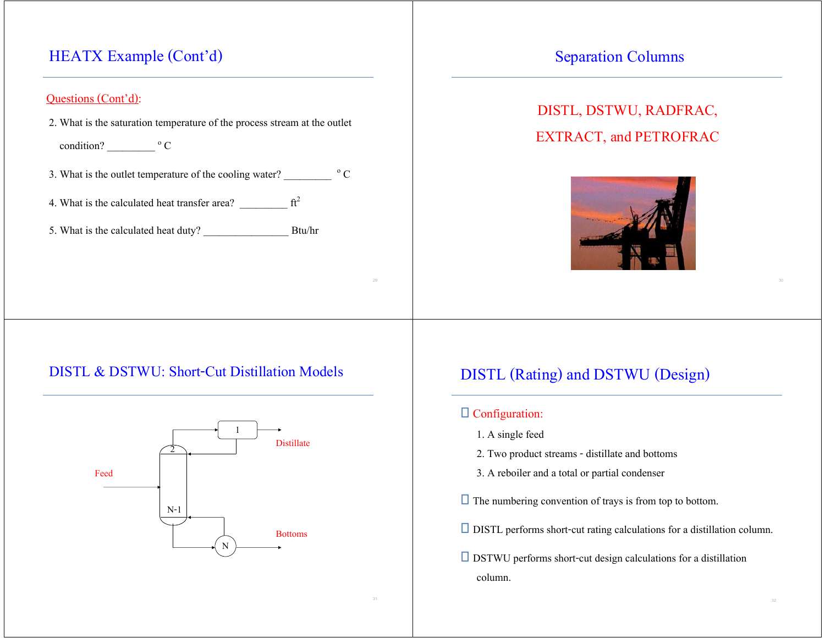### HEATX Example (Cont'd)

#### Questions (Cont'd):

2. What is the saturation temperature of the process stream at the outlet

condition?  $\qquad \qquad \circ \text{C}$ 

- 3. What is the outlet temperature of the cooling water?  $\frac{1}{\sqrt{C}}$
- 4. What is the calculated heat transfer area?  $\frac{1}{2}$  ft<sup>2</sup>
- 5. What is the calculated heat duty? \_\_\_\_\_\_\_\_\_\_\_\_\_\_\_\_ Btu/hr

#### Separation Columns

# DISTL, DSTWU, RADFRAC, EXTRACT, and PETROFRAC



#### DISTL & DSTWU: Short-Cut Distillation Models



### DISTL (Rating) and DSTWU (Design)

#### Configuration:

- 1. A single feed
- 2. Two product streams distillate and bottoms
- 3. A reboiler and a total or partial condenser
- $\Box$  The numbering convention of trays is from top to bottom.
- DISTL performs short-cut rating calculations for a distillation column.
- $\Box$  DSTWU performs short-cut design calculations for a distillation column.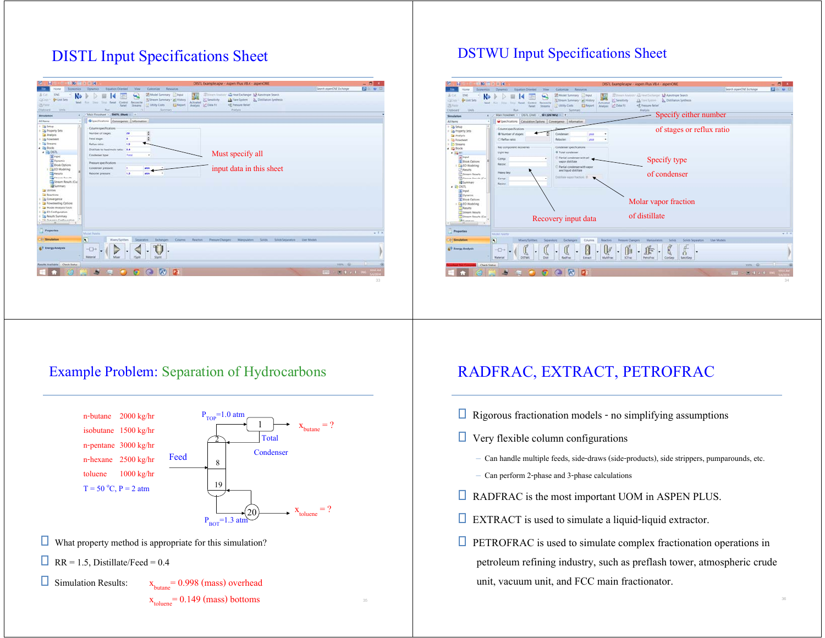### DISTL Input Specifications Sheet



#### DSTWU Input Specifications Sheet



#### Example Problem: Separation of Hydrocarbons



- $\Box$  What property method is appropriate for this simulation?
- RR = 1.5, Distillate/Feed =  $0.4$

 $\Box$  Simulation Results:  $x_{\text{butane}} = 0.998$  (mass) overhead  $x_{\text{toluene}} = 0.149 \text{ (mass) }$ bottoms

### RADFRAC, EXTRACT, PETROFRAC

- $\Box$  Rigorous fractionation models no simplifying assumptions
- $\Box$  Very flexible column configurations
	- Can handle multiple feeds, side-draws (side-products), side strippers, pumparounds, etc.
	- Can perform 2-phase and 3-phase calculations
- **EXECUTE:** RADFRAC is the most important UOM in ASPEN PLUS.
- EXTRACT is used to simulate a liquid-liquid extractor.
- $\Box$  PETROFRAC is used to simulate complex fractionation operations in petroleum refining industry, such as preflash tower, atmospheric crude unit, vacuum unit, and FCC main fractionator.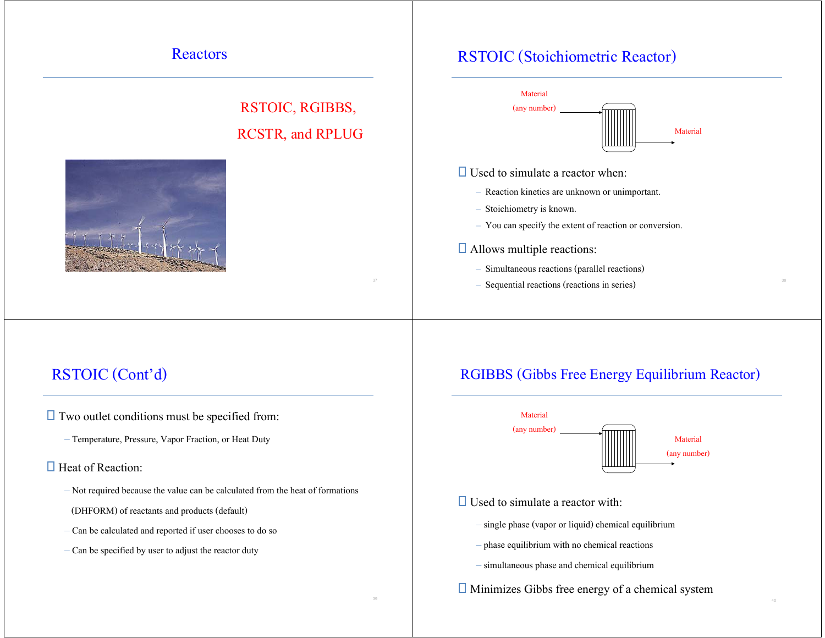#### Reactors

# RSTOIC, RGIBBS, RCSTR, and RPLUG



### RSTOIC (Stoichiometric Reactor)



#### $\Box$  Used to simulate a reactor when:

- Reaction kinetics are unknown or unimportant.
- Stoichiometry is known.
- You can specify the extent of reaction or conversion.

#### **□** Allows multiple reactions:

- Simultaneous reactions (parallel reactions)
- Sequential reactions (reactions in series)

# RSTOIC (Cont'd)

 $\Box$  Two outlet conditions must be specified from:

– Temperature, Pressure, Vapor Fraction, or Heat Duty

#### $\Box$  Heat of Reaction:

- Not required because the value can be calculated from the heat of formations (DHFORM) of reactants and products (default)
- Can be calculated and reported if user chooses to do so
- Can be specified by user to adjust the reactor duty

### RGIBBS (Gibbs Free Energy Equilibrium Reactor)



#### $\Box$  Used to simulate a reactor with:

- single phase (vapor or liquid) chemical equilibrium
- phase equilibrium with no chemical reactions
- simultaneous phase and chemical equilibrium
- $\Box$  Minimizes Gibbs free energy of a chemical system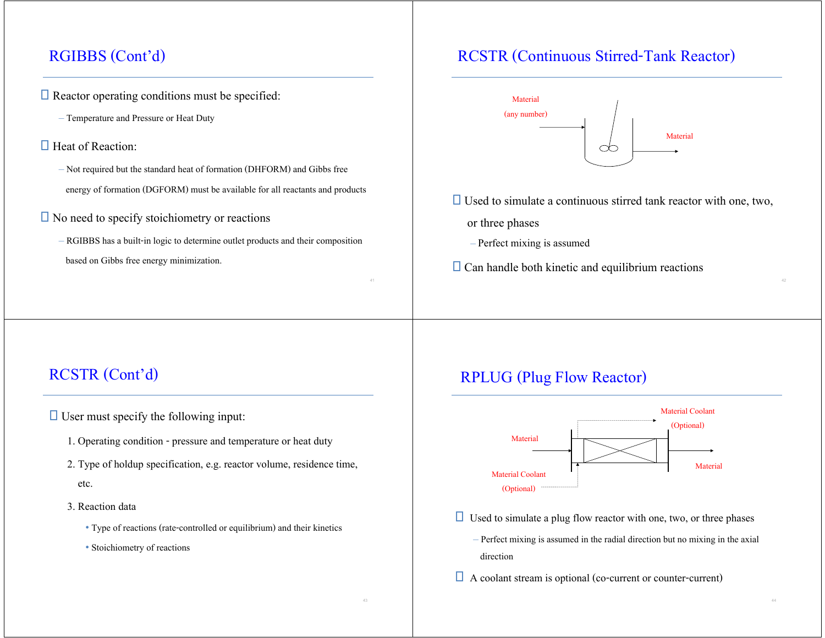### RGIBBS (Cont'd)

- $\Box$  Reactor operating conditions must be specified:
	- Temperature and Pressure or Heat Duty
- $\Box$  Heat of Reaction:
	- Not required but the standard heat of formation (DHFORM) and Gibbs free energy of formation (DGFORM) must be available for all reactants and products
- $\square$  No need to specify stoichiometry or reactions
	- RGIBBS has a built-in logic to determine outlet products and their composition based on Gibbs free energy minimization.

### RCSTR (Continuous Stirred-Tank Reactor)



- $\Box$  Used to simulate a continuous stirred tank reactor with one, two,
	- or three phases
	- –Perfect mixing is assumed
- $\Box$  Can handle both kinetic and equilibrium reactions

### RCSTR (Cont'd)

 $\Box$  User must specify the following input:

- 1. Operating condition pressure and temperature or heat duty
- 2. Type of holdup specification, e.g. reactor volume, residence time, etc.
- 3. Reaction data
	- Type of reactions (rate-controlled or equilibrium) and their kinetics
	- Stoichiometry of reactions

### RPLUG (Plug Flow Reactor)



- $\Box$  Used to simulate a plug flow reactor with one, two, or three phases
	- Perfect mixing is assumed in the radial direction but no mixing in the axial direction
- $\Box$  A coolant stream is optional (co-current or counter-current)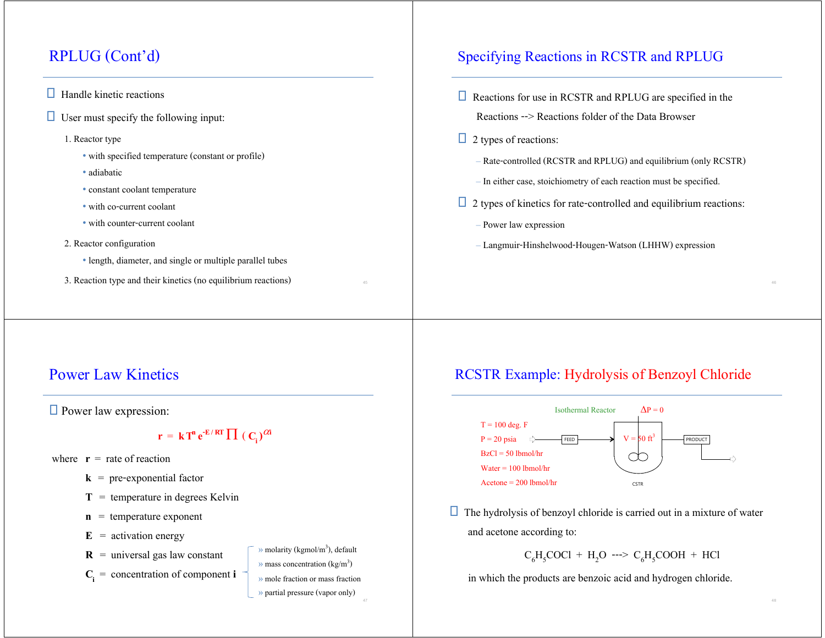# RPLUG (Cont'd)

#### $\Box$  Handle kinetic reactions

 $\Box$  User must specify the following input:

#### 1. Reactor type

- with specified temperature (constant or profile)
- adiabatic
- constant coolant temperature
- with co-current coolant
- with counter-current coolant
- 2. Reactor configuration
	- length, diameter, and single or multiple parallel tubes
- 3. Reaction type and their kinetics (no equilibrium reactions) <sup>46</sup>

### Specifying Reactions in RCSTR and RPLUG

- $\Box$  Reactions for use in RCSTR and RPLUG are specified in the Reactions --> Reactions folder of the Data Browser
- $\Box$  2 types of reactions:
	- Rate-controlled (RCSTR and RPLUG) and equilibrium (only RCSTR)
	- In either case, stoichiometry of each reaction must be specified.
- $\Box$  2 types of kinetics for rate-controlled and equilibrium reactions:
	- Power law expression
	- Langmuir-Hinshelwood-Hougen-Watson (LHHW) expression

# Power Law Kinetics

**Power law expression:** 

 $\mathbf{r} = \mathbf{k} \mathbf{T}^{\mathbf{n}} \mathbf{e}^{-\mathbf{E}/\mathbf{RT}} \prod (\mathbf{C}_{\mathbf{i}})^{\alpha \mathbf{i}}$ 

- where  $\mathbf{r} =$  rate of reaction
	- $k = pre-exponential factor$
	- $T =$  temperature in degrees Kelvin
	- **<sup>n</sup>** = temperature exponent
	- $\mathbf{E}$  = activation energy
	- $\bf{R}$  = universal gas law constant
	- $C_i$  = concentration of component **i**
- $\gg$  molarity (kgmol/m<sup>3</sup>), default  $\gg$  mass concentration (kg/m<sup>3</sup>) » mole fraction or mass fraction» partial pressure (vapor only)

### RCSTR Example: Hydrolysis of Benzoyl Chloride



 $\Box$  The hydrolysis of benzoyl chloride is carried out in a mixture of water and acetone according to:

$$
C_6H_5COCl + H_2O \longrightarrow C_6H_5COOH + HCl
$$

in which the products are benzoic acid and hydrogen chloride.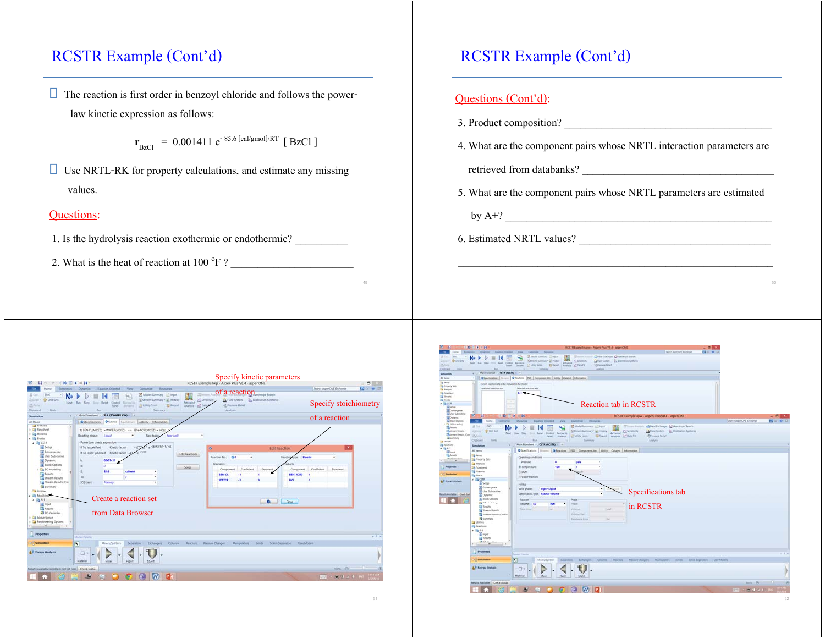# RCSTR Example (Cont'd)

 $\Box$  The reaction is first order in benzoyl chloride and follows the powerlaw kinetic expression as follows:

$$
\mathbf{r}_{\text{BzCl}} = 0.001411 \, \text{e}^{-85.6 \, [\text{cal/gmol}]/RT} \, [\text{BzCl}]
$$

 $\Box$  Use NRTL-RK for property calculations, and estimate any missing values.

#### **Questions:**

- 1. Is the hydrolysis reaction exothermic or endothermic?
- 2. What is the heat of reaction at  $100 \text{ °F}$  ?

# RCSTR Example (Cont'd)

. . . . . . . . .

|                                            | Questions (Cont'd):                                                                                                                                                                                                                                        |
|--------------------------------------------|------------------------------------------------------------------------------------------------------------------------------------------------------------------------------------------------------------------------------------------------------------|
|                                            | 3. Product composition?                                                                                                                                                                                                                                    |
|                                            | 4. What are the component pairs whose NRTL interaction parameters are                                                                                                                                                                                      |
|                                            | retrieved from databanks?                                                                                                                                                                                                                                  |
|                                            | 5. What are the component pairs whose NRTL parameters are estimated                                                                                                                                                                                        |
|                                            |                                                                                                                                                                                                                                                            |
|                                            | 6. Estimated NRTL values?<br><u> 1980 - Jan Barbara Barbara, masa ka</u>                                                                                                                                                                                   |
|                                            |                                                                                                                                                                                                                                                            |
|                                            | 50                                                                                                                                                                                                                                                         |
|                                            |                                                                                                                                                                                                                                                            |
|                                            |                                                                                                                                                                                                                                                            |
|                                            | $\begin{array}{l} \displaystyle \frac{\Delta}{\epsilon} \lim_{\epsilon \to 0} \lim_{\epsilon \to 0} \epsilon \end{array}$ of $\ell$<br>B.O<br>El feset Analysi af Data Fil<br>$\frac{1}{2}$ in the set of $\frac{1}{2}$<br>4 PD Component Rev. Catalog and |
|                                            | Reaction tab in RCSTR<br>RCSTR Example apw - Aspen Plus VR 4 - aspenON                                                                                                                                                                                     |
|                                            | - 45 Heat Enthanger 12 Assolinge Search<br>$N \rightarrow$<br>25 Model Su<br>異<br>D<br>Actualist Chevrolet<br>A Fore System By Distillation Sy<br>School Summary 1 all History<br>A Links Costs<br><b>El Feport</b><br>42 Pressure Relief                  |
|                                            | a PSD Component Atts.   Littity   Catalyst   Information<br>n.                                                                                                                                                                                             |
| <b>AFR</b>                                 |                                                                                                                                                                                                                                                            |
| <b>DECSTI</b>                              | 0 Day                                                                                                                                                                                                                                                      |
| <b>SEE</b> Day                             | Specifications tab                                                                                                                                                                                                                                         |
| <b>Witness</b><br>Da no<br><b>CA heads</b> | in RCSTR                                                                                                                                                                                                                                                   |
| ä                                          |                                                                                                                                                                                                                                                            |
|                                            |                                                                                                                                                                                                                                                            |
|                                            |                                                                                                                                                                                                                                                            |
|                                            |                                                                                                                                                                                                                                                            |
|                                            | $\overline{t}$                                                                                                                                                                                                                                             |
|                                            | $ \overline{U}$ .                                                                                                                                                                                                                                          |

ter) is work?

|                                                                                                                                                                                            |                                                                                                                                                                                                                                          | <b>Specify kinetic parameters</b>                                                                                                                                                          |                                                                                              |
|--------------------------------------------------------------------------------------------------------------------------------------------------------------------------------------------|------------------------------------------------------------------------------------------------------------------------------------------------------------------------------------------------------------------------------------------|--------------------------------------------------------------------------------------------------------------------------------------------------------------------------------------------|----------------------------------------------------------------------------------------------|
| <b>B</b> H<br>内 一 四 三 四<br>$N+$ $\longrightarrow$<br><b>Kortus</b><br>Economics                                                                                                            | $=14$<br>Equation Oriented<br>View<br><b>Cotomor</b><br>Besources<br>Dynamics                                                                                                                                                            | of a reaction<br>more Search                                                                                                                                                               | $-0$ $-$<br><b>DO # B</b><br>Search asperCIVE Exchange                                       |
| <b>ENG</b><br>N<br>& O.E.<br><b>C</b> Linit Sets<br>L'aCorp +<br>Next:<br>23 Partie<br><b>Ushi</b><br>Olaboard                                                                             | Model Summary <b>Ingsat</b><br>m.<br>Sisteam Summary 1 and History<br>line: Retet Control<br>Garciana' (66<br>E Report<br><b>Unity Costs</b><br>Parell:<br><b>Simparing</b><br><b>Bus</b><br>Summary                                     | <b>COMMAN AN</b><br>C Servitury<br>Dalilation Synthesis<br>A Flare System.<br>Activated<br><2 Pressure Relief<br>Let Data<br>Analysis<br>Analysis                                          | Specify stoichiometry                                                                        |
| Simulation<br>All Items                                                                                                                                                                    | Main Finesheet - R-1 (POWERLAW) - +<br>OStochiometry O'Chetic Environme Activity Information                                                                                                                                             |                                                                                                                                                                                            | of a reaction                                                                                |
| and Please party<br><b>B</b> Flowsheet<br>- Eg Streams<br>a illa Books<br><b>A</b> 28 CSTR<br>g) Setup<br>Convergence                                                                      | 1) BEN-CLIMOSED: + WATER/MOSED: - > BEN-ACIO/MOSED: + HCLE *<br><b>Rear (yol)</b><br>Reacting phase:<br>Lipad<br>Rate basic<br>Power Law kinetic expression<br>$+$ -(E/R)(1/T-1/To)<br>If To is specified:<br>Kinetic factor<br>$-4.001$ | ٠<br>$\circ$<br><b>Edit lleaction</b>                                                                                                                                                      |                                                                                              |
| <b>G</b> User Subroutine<br><b>G</b> Dynamic<br><b>D</b> Block Options<br>+ D& EO Modeling<br><b>B</b> Retails<br><b>Ca Stream Results</b><br>Stream Results (Cus)<br><b>B</b> Summary     | If To is not specified: Kinetic factor +47.7<br>0.001411<br>$\circ$<br>85.6<br>cal/mol<br>٠<br>To<br>×<br>$\bullet$<br>(Ci) basic<br>Molarity<br>٠                                                                                       | Edit Reactions<br>$^{\circ}$<br>Reaction No:<br>Reaction<br><b><i><u>Reactants</u></i></b><br>Solids<br>Coefficient<br>Component.<br>Exportent<br><b>BEN-CL</b><br>и<br><b>WATER</b><br>-1 | Kingtig<br>$\blacksquare$<br>Coefficient<br>Exportent<br>Component<br><b>BEN-ACIO</b><br>HCL |
| <b>Utilities</b><br>A <b>ill feactions</b><br>$-1.88 - 1.$<br><b>B</b> Input<br><b>To Results</b><br><b>2 FO</b> Variables<br>Convergence<br><b>Ca</b> Flowsheeting Options<br>M<br>$-114$ | Create a reaction set<br>from Data Browser                                                                                                                                                                                               | No.                                                                                                                                                                                        | Close                                                                                        |
| <b>Properties</b>                                                                                                                                                                          | Middel Palema                                                                                                                                                                                                                            |                                                                                                                                                                                            | $-0.9$                                                                                       |
| <b>Constation</b>                                                                                                                                                                          | $\overline{\mathbf{R}}$<br>Mixers/Satirters<br>Separators<br>Exchangers:<br>Columni                                                                                                                                                      | Reactors<br><b>Pressure Changers</b><br>Mampulators<br>Sovin<br>Scyldt Separators                                                                                                          | Lisar Models                                                                                 |
| <b>AV Energy Analysis</b>                                                                                                                                                                  | $\neg$<br>Material<br>Mixer<br>PSpit<br>SSpitz                                                                                                                                                                                           |                                                                                                                                                                                            |                                                                                              |
| Results Available (problem not yet run)  Oseck Status                                                                                                                                      |                                                                                                                                                                                                                                          |                                                                                                                                                                                            | 22.202                                                                                       |
|                                                                                                                                                                                            | $\Lambda^*$<br>D.<br><b>IG</b><br>œ.                                                                                                                                                                                                     |                                                                                                                                                                                            | <b>BOOT - BUT J &amp; ING THINK</b>                                                          |

51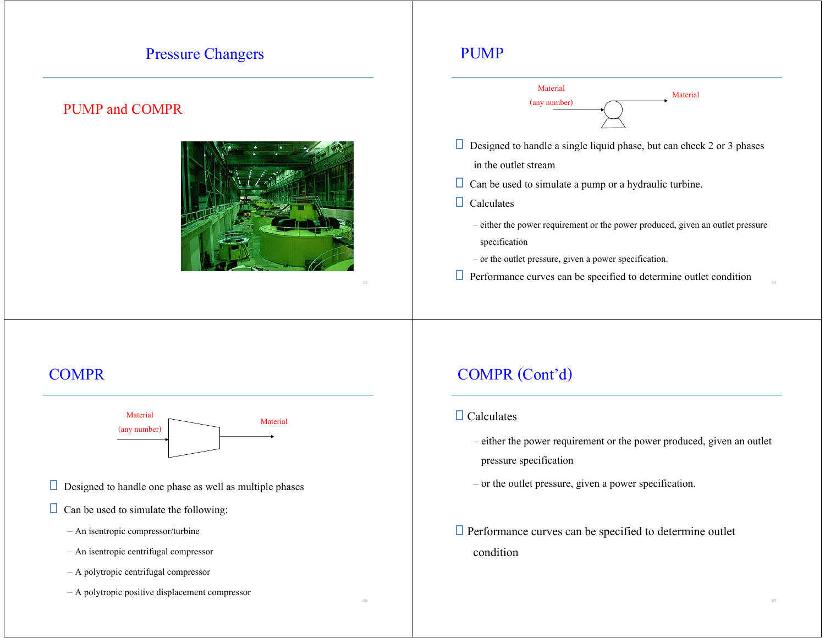#### Pressure Changers

#### PUMP and COMPR



#### PUMP



- $\Box$  Designed to handle a single liquid phase, but can check 2 or 3 phases
	- in the outlet stream
- $\Box$  Can be used to simulate a pump or a hydraulic turbine.

 $\Box$  Calculates

- either the power requirement or the power produced, given an outlet pressure specification
- or the outlet pressure, given a power specification.
- $\Box$  Performance curves can be specified to determine outlet condition

### **COMPR**



- $\Box$  Designed to handle one phase as well as multiple phases
- $\Box$  Can be used to simulate the following:
	- An isentropic compressor/turbine
	- An isentropic centrifugal compressor
	- A polytropic centrifugal compressor
	- A polytropic positive displacement compressor

# COMPR (Cont'd)

#### $\Box$  Calculates

- either the power requirement or the power produced, given an outlet pressure specification
- or the outlet pressure, given a power specification.
- $\Box$  Performance curves can be specified to determine outlet condition